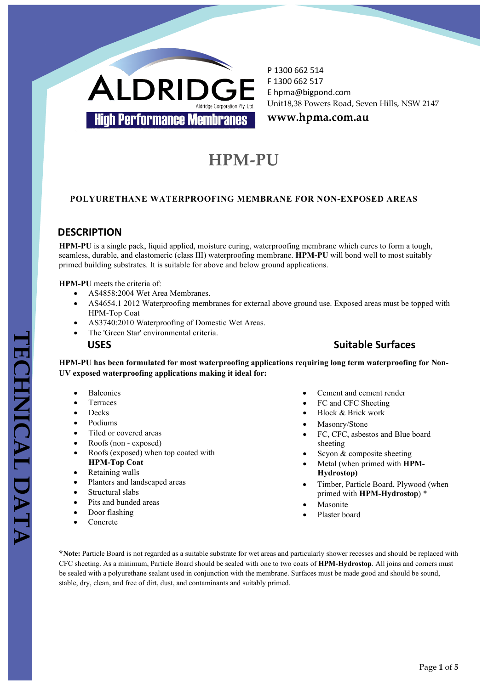

**www.hpma.com.au**

# **HPM-PU**

#### **POLYURETHANE WATERPROOFING MEMBRANE FOR NON-EXPOSED AREAS**

### **DESCRIPTION**

**HPM-PU** is a single pack, liquid applied, moisture curing, waterproofing membrane which cures to form a tough, seamless, durable, and elastomeric (class III) waterproofing membrane. **HPM-PU** will bond well to most suitably primed building substrates. It is suitable for above and below ground applications.

**HPM-PU** meets the criteria of:

- AS4858:2004 Wet Area Membranes.
- AS4654.1 2012 Waterproofing membranes for external above ground use. Exposed areas must be topped with HPM-Top Coat
- AS3740:2010 Waterproofing of Domestic Wet Areas.
- The 'Green Star' environmental criteria.

#### **USES Suitable Surfaces**

**HPM-PU has been formulated for most waterproofing applications requiring long term waterproofing for Non-UV exposed waterproofing applications making it ideal for:**

- **Balconies**
- **Terraces**
- Decks
- Podiums
- Tiled or covered areas
- Roofs (non exposed)
- Roofs (exposed) when top coated with **HPM-Top Coat**
- Retaining walls
- Planters and landscaped areas
- Structural slabs
- Pits and bunded areas
- Door flashing
- Concrete
- Cement and cement render
- FC and CFC Sheeting
- Block & Brick work
- Masonry/Stone
- FC, CFC, asbestos and Blue board sheeting
- Scyon & composite sheeting
- Metal (when primed with **HPM-Hydrostop)**
- Timber, Particle Board, Plywood (when primed with **HPM-Hydrostop**) \*
- **Masonite**
- Plaster board

**\*Note:** Particle Board is not regarded as a suitable substrate for wet areas and particularly shower recesses and should be replaced with CFC sheeting. As a minimum, Particle Board should be sealed with one to two coats of **HPM-Hydrostop**. All joins and corners must be sealed with a polyurethane sealant used in conjunction with the membrane. Surfaces must be made good and should be sound, stable, dry, clean, and free of dirt, dust, and contaminants and suitably primed.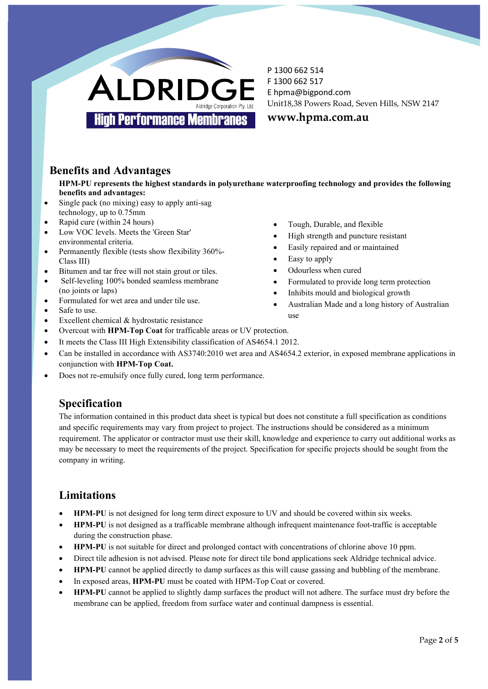

**www.hpma.com.au**

# **Benefits and Advantages**

**HPM-PU represents the highest standards in polyurethane waterproofing technology and provides the following benefits and advantages:**

- Single pack (no mixing) easy to apply anti-sag technology, up to 0.75mm
- Rapid cure (within 24 hours)
- Low VOC levels. Meets the 'Green Star' environmental criteria.
- Permanently flexible (tests show flexibility 360%- Class III)
- Bitumen and tar free will not stain grout or tiles.
- Self-leveling 100% bonded seamless membrane (no joints or laps)
- Formulated for wet area and under tile use.
- Safe to use.
- Excellent chemical & hydrostatic resistance
- Tough, Durable, and flexible
- High strength and puncture resistant
- Easily repaired and or maintained
- Easy to apply
- Odourless when cured
- Formulated to provide long term protection
- Inhibits mould and biological growth
- Australian Made and a long history of Australian use
- 
- Overcoat with **HPM-Top Coat** for trafficable areas or UV protection.
- It meets the Class III High Extensibility classification of AS4654.1 2012.
- Can be installed in accordance with AS3740:2010 wet area and AS4654.2 exterior, in exposed membrane applications in conjunction with **HPM-Top Coat.**
- Does not re-emulsify once fully cured, long term performance.

# **Specification**

The information contained in this product data sheet is typical but does not constitute a full specification as conditions and specific requirements may vary from project to project. The instructions should be considered as a minimum requirement. The applicator or contractor must use their skill, knowledge and experience to carry out additional works as may be necessary to meet the requirements of the project. Specification for specific projects should be sought from the company in writing.

# **Limitations**

- **HPM-PU** is not designed for long term direct exposure to UV and should be covered within six weeks.
- **HPM-PU** is not designed as a trafficable membrane although infrequent maintenance foot-traffic is acceptable during the construction phase.
- **HPM-PU** is not suitable for direct and prolonged contact with concentrations of chlorine above 10 ppm.
- Direct tile adhesion is not advised. Please note for direct tile bond applications seek Aldridge technical advice.
- **HPM-PU** cannot be applied directly to damp surfaces as this will cause gassing and bubbling of the membrane.
- In exposed areas, **HPM-PU** must be coated with HPM-Top Coat or covered.
- **HPM-PU** cannot be applied to slightly damp surfaces the product will not adhere. The surface must dry before the membrane can be applied, freedom from surface water and continual dampness is essential.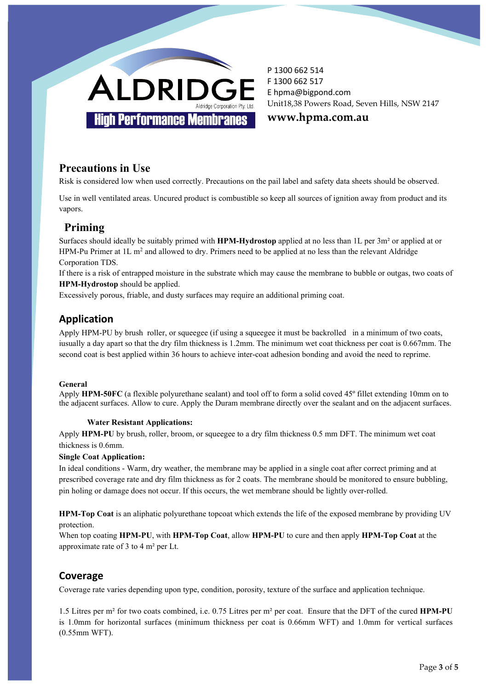

**www.hpma.com.au**

# **Precautions in Use**

Risk is considered low when used correctly. Precautions on the pail label and safety data sheets should be observed.

Use in well ventilated areas. Uncured product is combustible so keep all sources of ignition away from product and its vapors.

### **Priming**

Surfaces should ideally be suitably primed with **HPM-Hydrostop** applied at no less than 1L per 3m² or applied at or HPM-Pu Primer at 1L m<sup>2</sup> and allowed to dry. Primers need to be applied at no less than the relevant Aldridge Corporation TDS.

If there is a risk of entrapped moisture in the substrate which may cause the membrane to bubble or outgas, two coats of **HPM-Hydrostop** should be applied.

Excessively porous, friable, and dusty surfaces may require an additional priming coat.

### **Application**

Apply HPM-PU by brush roller, or squeegee (if using a squeegee it must be backrolled in a minimum of two coats, iusually a day apart so that the dry film thickness is 1.2mm. The minimum wet coat thickness per coat is 0.667mm. The second coat is best applied within 36 hours to achieve inter-coat adhesion bonding and avoid the need to reprime.

#### **General**

Apply **HPM-50FC** (a flexible polyurethane sealant) and tool off to form a solid coved 45º fillet extending 10mm on to the adjacent surfaces. Allow to cure. Apply the Duram membrane directly over the sealant and on the adjacent surfaces.

#### **Water Resistant Applications:**

Apply **HPM-PU** by brush, roller, broom, or squeegee to a dry film thickness 0.5 mm DFT. The minimum wet coat thickness is 0.6mm.

#### **Single Coat Application:**

In ideal conditions - Warm, dry weather, the membrane may be applied in a single coat after correct priming and at prescribed coverage rate and dry film thickness as for 2 coats. The membrane should be monitored to ensure bubbling, pin holing or damage does not occur. If this occurs, the wet membrane should be lightly over-rolled.

**HPM-Top Coat** is an aliphatic polyurethane topcoat which extends the life of the exposed membrane by providing UV protection.

When top coating **HPM-PU**, with **HPM-Top Coat**, allow **HPM-PU** to cure and then apply **HPM-Top Coat** at the approximate rate of 3 to 4 m² per Lt.

### **Coverage**

Coverage rate varies depending upon type, condition, porosity, texture of the surface and application technique.

1.5 Litres per m² for two coats combined, i.e. 0.75 Litres per m² per coat. Ensure that the DFT of the cured **HPM-PU** is 1.0mm for horizontal surfaces (minimum thickness per coat is 0.66mm WFT) and 1.0mm for vertical surfaces (0.55mm WFT).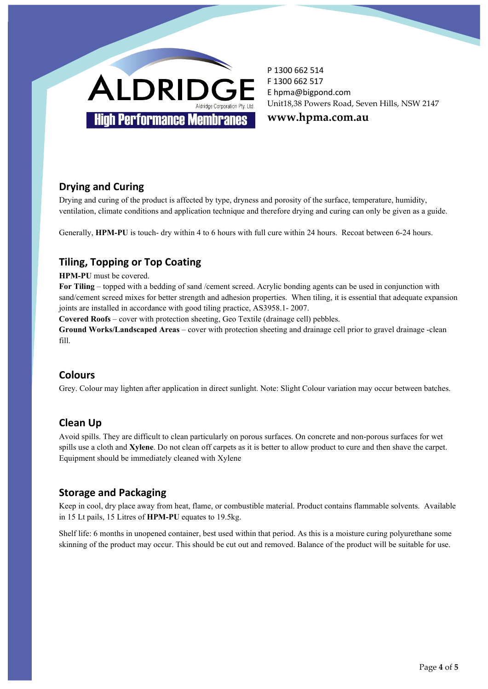

**www.hpma.com.au**

# **Drying and Curing**

Drying and curing of the product is affected by type, dryness and porosity of the surface, temperature, humidity, ventilation, climate conditions and application technique and therefore drying and curing can only be given as a guide.

Generally, **HPM-PU** is touch- dry within 4 to 6 hours with full cure within 24 hours. Recoat between 6-24 hours.

# **Tiling, Topping or Top Coating**

**HPM-PU** must be covered.

**For Tiling** – topped with a bedding of sand /cement screed. Acrylic bonding agents can be used in conjunction with sand/cement screed mixes for better strength and adhesion properties. When tiling, it is essential that adequate expansion joints are installed in accordance with good tiling practice, AS3958.1- 2007.

**Covered Roofs** – cover with protection sheeting, Geo Textile (drainage cell) pebbles.

**Ground Works/Landscaped Areas** – cover with protection sheeting and drainage cell prior to gravel drainage -clean fill.

### **Colours**

Grey. Colour may lighten after application in direct sunlight. Note: Slight Colour variation may occur between batches.

# **Clean Up**

Avoid spills. They are difficult to clean particularly on porous surfaces. On concrete and non-porous surfaces for wet spills use a cloth and **Xylene**. Do not clean off carpets as it is better to allow product to cure and then shave the carpet. Equipment should be immediately cleaned with Xylene

### **Storage and Packaging**

Keep in cool, dry place away from heat, flame, or combustible material. Product contains flammable solvents. Available in 15 Lt pails, 15 Litres of **HPM-PU** equates to 19.5kg.

Shelf life: 6 months in unopened container, best used within that period. As this is a moisture curing polyurethane some skinning of the product may occur. This should be cut out and removed. Balance of the product will be suitable for use.